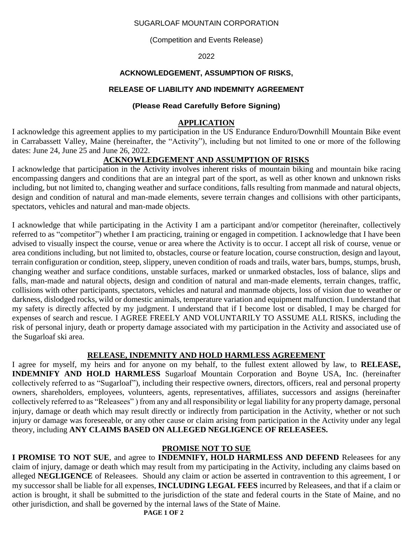#### SUGARLOAF MOUNTAIN CORPORATION

(Competition and Events Release)

2022

## **ACKNOWLEDGEMENT, ASSUMPTION OF RISKS,**

# **RELEASE OF LIABILITY AND INDEMNITY AGREEMENT**

# **(Please Read Carefully Before Signing)**

# **APPLICATION**

I acknowledge this agreement applies to my participation in the US Endurance Enduro/Downhill Mountain Bike event in Carrabassett Valley, Maine (hereinafter, the "Activity"), including but not limited to one or more of the following dates: June 24, June 25 and June 26, 2022.

# **ACKNOWLEDGEMENT AND ASSUMPTION OF RISKS**

I acknowledge that participation in the Activity involves inherent risks of mountain biking and mountain bike racing encompassing dangers and conditions that are an integral part of the sport, as well as other known and unknown risks including, but not limited to, changing weather and surface conditions, falls resulting from manmade and natural objects, design and condition of natural and man-made elements, severe terrain changes and collisions with other participants, spectators, vehicles and natural and man-made objects.

I acknowledge that while participating in the Activity I am a participant and/or competitor (hereinafter, collectively referred to as "competitor") whether I am practicing, training or engaged in competition. I acknowledge that I have been advised to visually inspect the course, venue or area where the Activity is to occur. I accept all risk of course, venue or area conditions including, but not limited to, obstacles, course or feature location, course construction, design and layout, terrain configuration or condition, steep, slippery, uneven condition of roads and trails, water bars, bumps, stumps, brush, changing weather and surface conditions, unstable surfaces, marked or unmarked obstacles, loss of balance, slips and falls, man-made and natural objects, design and condition of natural and man-made elements, terrain changes, traffic, collisions with other participants, spectators, vehicles and natural and manmade objects, loss of vision due to weather or darkness, dislodged rocks, wild or domestic animals, temperature variation and equipment malfunction. I understand that my safety is directly affected by my judgment. I understand that if I become lost or disabled, I may be charged for expenses of search and rescue. I AGREE FREELY AND VOLUNTARILY TO ASSUME ALL RISKS, including the risk of personal injury, death or property damage associated with my participation in the Activity and associated use of the Sugarloaf ski area.

## **RELEASE, INDEMNITY AND HOLD HARMLESS AGREEMENT**

I agree for myself, my heirs and for anyone on my behalf, to the fullest extent allowed by law, to **RELEASE, INDEMNIFY AND HOLD HARMLESS** Sugarloaf Mountain Corporation and Boyne USA, Inc. (hereinafter collectively referred to as "Sugarloaf"), including their respective owners, directors, officers, real and personal property owners, shareholders, employees, volunteers, agents, representatives, affiliates, successors and assigns (hereinafter collectively referred to as "Releasees" ) from any and all responsibility or legal liability for any property damage, personal injury, damage or death which may result directly or indirectly from participation in the Activity, whether or not such injury or damage was foreseeable, or any other cause or claim arising from participation in the Activity under any legal theory, including **ANY CLAIMS BASED ON ALLEGED NEGLIGENCE OF RELEASEES.**

## **PROMISE NOT TO SUE**

**I PROMISE TO NOT SUE**, and agree to **INDEMNIFY, HOLD HARMLESS AND DEFEND** Releasees for any claim of injury, damage or death which may result from my participating in the Activity, including any claims based on alleged **NEGLIGENCE** of Releasees. Should any claim or action be asserted in contravention to this agreement, I or my successor shall be liable for all expenses, **INCLUDING LEGAL FEES** incurred by Releasees, and that if a claim or action is brought, it shall be submitted to the jurisdiction of the state and federal courts in the State of Maine, and no other jurisdiction, and shall be governed by the internal laws of the State of Maine.

**PAGE 1 OF 2**